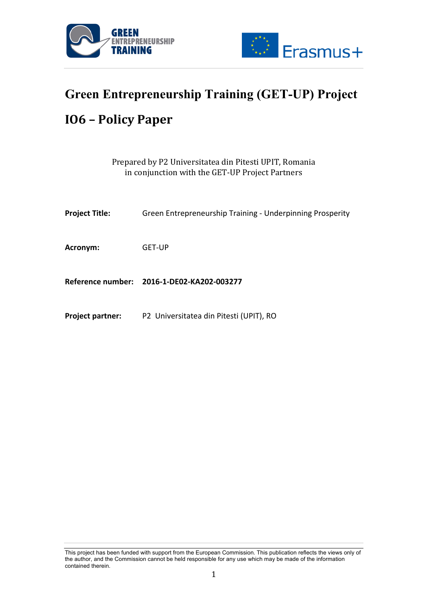



# **Green Entrepreneurship Training (GET-UP) Project IO6 – Policy Paper**

| Prepared by P2 Universitatea din Pitesti UPIT, Romania |
|--------------------------------------------------------|
| in conjunction with the GET-UP Project Partners        |

| <b>Project Title:</b>   | Green Entrepreneurship Training - Underpinning Prosperity |
|-------------------------|-----------------------------------------------------------|
| Acronym:                | <b>GET-UP</b>                                             |
|                         | Reference number: 2016-1-DE02-KA202-003277                |
| <b>Project partner:</b> | P2 Universitatea din Pitesti (UPIT), RO                   |

This project has been funded with support from the European Commission. This publication reflects the views only of the author, and the Commission cannot be held responsible for any use which may be made of the information contained therein.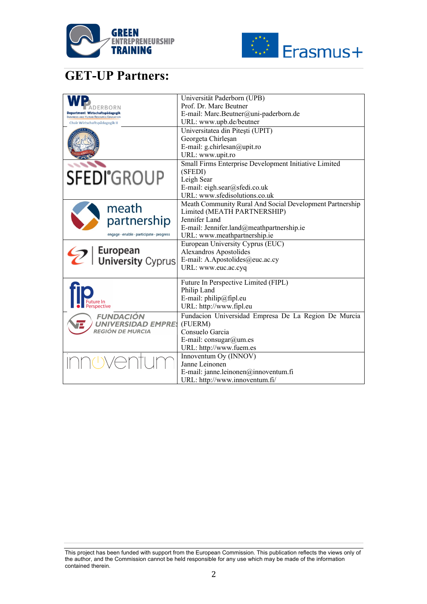



# **GET-UP Partners:**

|                                                                                 | Universität Paderborn (UPB)                              |
|---------------------------------------------------------------------------------|----------------------------------------------------------|
| ) ERBORN                                                                        | Prof. Dr. Marc Beutner                                   |
| Department Wirtschaftspädagogik<br><b>BUSINESS AND HUMAN RESOURCE EDUCATION</b> | E-mail: Marc.Beutner@uni-paderborn.de                    |
| Chair Wirtschaftspädagogik II                                                   | URL: www.upb.de/beutner                                  |
|                                                                                 | Universitatea din Pitești (UPIT)                         |
|                                                                                 | Georgeta Chirleşan                                       |
|                                                                                 | E-mail: g.chirlesan@upit.ro                              |
|                                                                                 | URL: www.upit.ro                                         |
|                                                                                 | Small Firms Enterprise Development Initiative Limited    |
|                                                                                 | (SFEDI)                                                  |
| <b>SFEDI</b> <sup>°</sup> GROUP                                                 | Leigh Sear                                               |
|                                                                                 | E-mail: eigh.sear@sfedi.co.uk                            |
|                                                                                 | URL: www.sfedisolutions.co.uk                            |
|                                                                                 | Meath Community Rural And Social Development Partnership |
| meath                                                                           | Limited (MEATH PARTNERSHIP)                              |
| partnership                                                                     | Jennifer Land                                            |
|                                                                                 | E-mail: Jennifer.land@meathpartnership.ie                |
| engage · enable · participate · progress                                        | URL: www.meathpartnership.ie                             |
|                                                                                 | European University Cyprus (EUC)                         |
| European<br>  University Cyprus                                                 | Alexandros Apostolides                                   |
|                                                                                 | E-mail: A.Apostolides@euc.ac.cy                          |
|                                                                                 | URL: www.euc.ac.cyq                                      |
|                                                                                 |                                                          |
|                                                                                 | Future In Perspective Limited (FIPL)                     |
|                                                                                 | Philip Land                                              |
|                                                                                 | E-mail: philip@fipl.eu                                   |
| spective                                                                        | URL: http://www.fipl.eu                                  |
| <b>FUNDACIÓN</b>                                                                | Fundacion Universidad Empresa De La Region De Murcia     |
| <b>UNIVERSIDAD EMPRES</b>                                                       | (FUERM)                                                  |
| REGIÓN DE MURCIA                                                                | Consuelo Garcia                                          |
|                                                                                 | E-mail: consugar@um.es                                   |
|                                                                                 | URL: http://www.fuem.es                                  |
|                                                                                 | Innoventum Oy (INNOV)                                    |
|                                                                                 | Janne Leinonen                                           |
|                                                                                 | E-mail: janne.leinonen@innoventum.fi                     |
|                                                                                 | URL: http://www.innoventum.fi/                           |

This project has been funded with support from the European Commission. This publication reflects the views only of the author, and the Commission cannot be held responsible for any use which may be made of the information contained therein.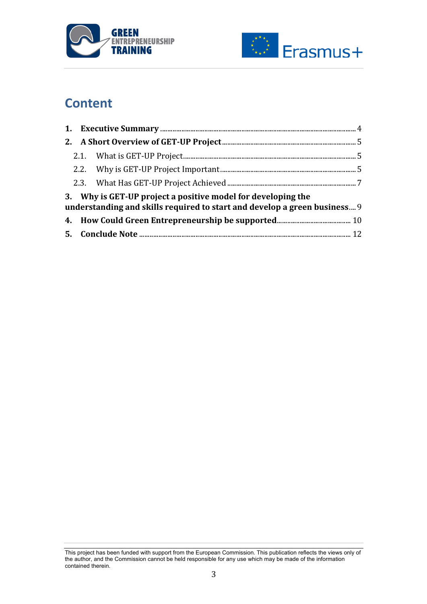



# **Content**

|  | 3. Why is GET-UP project a positive model for developing the<br>understanding and skills required to start and develop a green business 9 |  |
|--|-------------------------------------------------------------------------------------------------------------------------------------------|--|
|  |                                                                                                                                           |  |
|  |                                                                                                                                           |  |

This project has been funded with support from the European Commission. This publication reflects the views only of the author, and the Commission cannot be held responsible for any use which may be made of the information contained therein.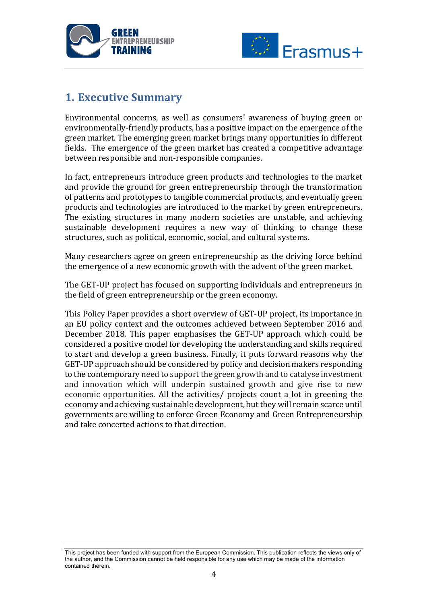



### **1. Executive Summary**

Environmental concerns, as well as consumers' awareness of buying green or environmentally-friendly products, has a positive impact on the emergence of the green market. The emerging green market brings many opportunities in different fields. The emergence of the green market has created a competitive advantage between responsible and non-responsible companies.

In fact, entrepreneurs introduce green products and technologies to the market and provide the ground for green entrepreneurship through the transformation of patterns and prototypes to tangible commercial products, and eventually green products and technologies are introduced to the market by green entrepreneurs. The existing structures in many modern societies are unstable, and achieving sustainable development requires a new way of thinking to change these structures, such as political, economic, social, and cultural systems.

Many researchers agree on green entrepreneurship as the driving force behind the emergence of a new economic growth with the advent of the green market.

The GET-UP project has focused on supporting individuals and entrepreneurs in the field of green entrepreneurship or the green economy.

This Policy Paper provides a short overview of GET-UP project, its importance in an EU policy context and the outcomes achieved between September 2016 and December 2018. This paper emphasises the GET-UP approach which could be considered a positive model for developing the understanding and skills required to start and develop a green business. Finally, it puts forward reasons why the GET-UP approach should be considered by policy and decision makers responding to the contemporary need to support the green growth and to catalyse investment and innovation which will underpin sustained growth and give rise to new economic opportunities. All the activities/ projects count a lot in greening the economy and achieving sustainable development, but they will remain scarce until governments are willing to enforce Green Economy and Green Entrepreneurship and take concerted actions to that direction.

This project has been funded with support from the European Commission. This publication reflects the views only of the author, and the Commission cannot be held responsible for any use which may be made of the information contained therein.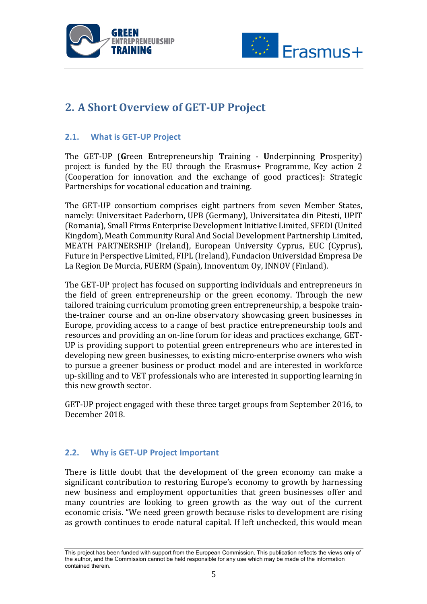



# **2. A Short Overview of GET-UP Project**

#### **2.1. What is GET-UP Project**

The GET-UP (Green Entrepreneurship Training - Underpinning Prosperity) project is funded by the EU through the Erasmus+ Programme, Key action 2 (Cooperation for innovation and the exchange of good practices): Strategic Partnerships for vocational education and training.

The GET-UP consortium comprises eight partners from seven Member States, namely: Universitaet Paderborn, UPB (Germany), Universitatea din Pitesti, UPIT (Romania), Small Firms Enterprise Development Initiative Limited, SFEDI (United Kingdom), Meath Community Rural And Social Development Partnership Limited, MEATH PARTNERSHIP (Ireland), European University Cyprus, EUC (Cyprus), Future in Perspective Limited, FIPL (Ireland), Fundacion Universidad Empresa De La Region De Murcia, FUERM (Spain), Innoventum Oy, INNOV (Finland).

The GET-UP project has focused on supporting individuals and entrepreneurs in the field of green entrepreneurship or the green economy. Through the new tailored training curriculum promoting green entrepreneurship, a bespoke trainthe-trainer course and an on-line observatory showcasing green businesses in Europe, providing access to a range of best practice entrepreneurship tools and resources and providing an on-line forum for ideas and practices exchange, GET-UP is providing support to potential green entrepreneurs who are interested in developing new green businesses, to existing micro-enterprise owners who wish to pursue a greener business or product model and are interested in workforce up-skilling and to VET professionals who are interested in supporting learning in this new growth sector.

GET-UP project engaged with these three target groups from September 2016, to December 2018.

#### **2.2. Why is GET-UP Project Important**

There is little doubt that the development of the green economy can make a significant contribution to restoring Europe's economy to growth by harnessing new business and employment opportunities that green businesses offer and many countries are looking to green growth as the way out of the current economic crisis. "We need green growth because risks to development are rising as growth continues to erode natural capital. If left unchecked, this would mean

This project has been funded with support from the European Commission. This publication reflects the views only of the author, and the Commission cannot be held responsible for any use which may be made of the information contained therein.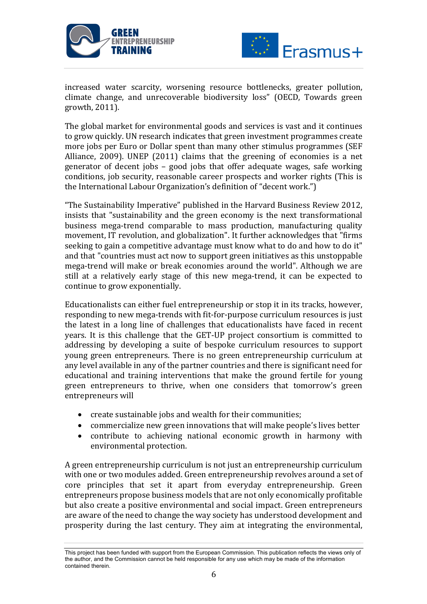



increased water scarcity, worsening resource bottlenecks, greater pollution, climate change, and unrecoverable biodiversity loss" (OECD, Towards green growth, 2011).

The global market for environmental goods and services is vast and it continues to grow quickly. UN research indicates that green investment programmes create more jobs per Euro or Dollar spent than many other stimulus programmes (SEF Alliance,  $2009$ ). UNEP  $(2011)$  claims that the greening of economies is a net generator of decent jobs  $-$  good jobs that offer adequate wages, safe working conditions, job security, reasonable career prospects and worker rights (This is the International Labour Organization's definition of "decent work.")

"The Sustainability Imperative" published in the Harvard Business Review 2012, insists that "sustainability and the green economy is the next transformational business mega-trend comparable to mass production, manufacturing quality movement, IT revolution, and globalization". It further acknowledges that "firms seeking to gain a competitive advantage must know what to do and how to do it" and that "countries must act now to support green initiatives as this unstoppable mega-trend will make or break economies around the world". Although we are still at a relatively early stage of this new mega-trend, it can be expected to continue to grow exponentially.

Educationalists can either fuel entrepreneurship or stop it in its tracks, however, responding to new mega-trends with fit-for-purpose curriculum resources is just the latest in a long line of challenges that educationalists have faced in recent years. It is this challenge that the GET-UP project consortium is committed to addressing by developing a suite of bespoke curriculum resources to support young green entrepreneurs. There is no green entrepreneurship curriculum at any level available in any of the partner countries and there is significant need for educational and training interventions that make the ground fertile for young green entrepreneurs to thrive, when one considers that tomorrow's green entrepreneurs will

- create sustainable jobs and wealth for their communities;
- commercialize new green innovations that will make people's lives better
- contribute to achieving national economic growth in harmony with environmental protection.

A green entrepreneurship curriculum is not just an entrepreneurship curriculum with one or two modules added. Green entrepreneurship revolves around a set of core principles that set it apart from everyday entrepreneurship. Green entrepreneurs propose business models that are not only economically profitable but also create a positive environmental and social impact. Green entrepreneurs are aware of the need to change the way society has understood development and prosperity during the last century. They aim at integrating the environmental,

This project has been funded with support from the European Commission. This publication reflects the views only of the author, and the Commission cannot be held responsible for any use which may be made of the information contained therein.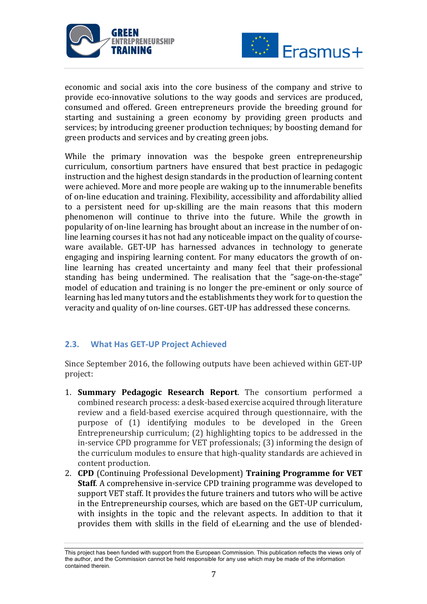



economic and social axis into the core business of the company and strive to provide eco-innovative solutions to the way goods and services are produced, consumed and offered. Green entrepreneurs provide the breeding ground for starting and sustaining a green economy by providing green products and services; by introducing greener production techniques; by boosting demand for green products and services and by creating green jobs.

While the primary innovation was the bespoke green entrepreneurship curriculum, consortium partners have ensured that best practice in pedagogic instruction and the highest design standards in the production of learning content were achieved. More and more people are waking up to the innumerable benefits of on-line education and training. Flexibility, accessibility and affordability allied to a persistent need for up-skilling are the main reasons that this modern phenomenon will continue to thrive into the future. While the growth in popularity of on-line learning has brought about an increase in the number of online learning courses it has not had any noticeable impact on the quality of courseware available. GET-UP has harnessed advances in technology to generate engaging and inspiring learning content. For many educators the growth of online learning has created uncertainty and many feel that their professional standing has being undermined. The realisation that the "sage-on-the-stage" model of education and training is no longer the pre-eminent or only source of learning has led many tutors and the establishments they work for to question the veracity and quality of on-line courses. GET-UP has addressed these concerns.

#### **2.3. What Has GET-UP Project Achieved**

Since September 2016, the following outputs have been achieved within GET-UP project:

- 1. **Summary Pedagogic Research Report**. The consortium performed a combined research process: a desk-based exercise acquired through literature review and a field-based exercise acquired through questionnaire, with the purpose of (1) identifying modules to be developed in the Green Entrepreneurship curriculum;  $(2)$  highlighting topics to be addressed in the in-service CPD programme for VET professionals; (3) informing the design of the curriculum modules to ensure that high-quality standards are achieved in content production.
- 2. **CPD** (Continuing Professional Development) **Training Programme for VET Staff.** A comprehensive in-service CPD training programme was developed to support VET staff. It provides the future trainers and tutors who will be active in the Entrepreneurship courses, which are based on the GET-UP curriculum, with insights in the topic and the relevant aspects. In addition to that it provides them with skills in the field of eLearning and the use of blended-

This project has been funded with support from the European Commission. This publication reflects the views only of the author, and the Commission cannot be held responsible for any use which may be made of the information contained therein.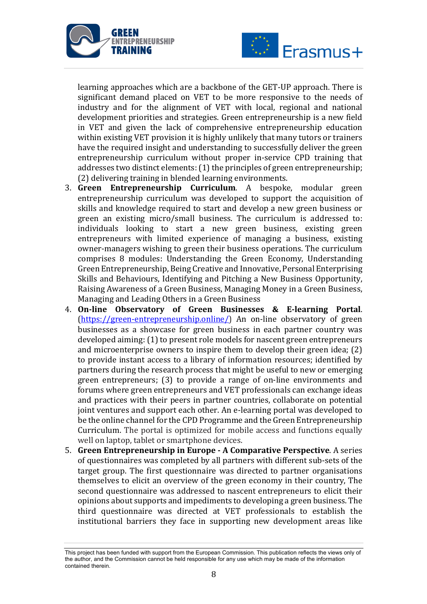



learning approaches which are a backbone of the GET-UP approach. There is significant demand placed on VET to be more responsive to the needs of industry and for the alignment of VET with local, regional and national development priorities and strategies. Green entrepreneurship is a new field in VET and given the lack of comprehensive entrepreneurship education within existing VET provision it is highly unlikely that many tutors or trainers have the required insight and understanding to successfully deliver the green entrepreneurship curriculum without proper in-service CPD training that addresses two distinct elements:  $(1)$  the principles of green entrepreneurship; (2) delivering training in blended learning environments.

- 3. **Green Entrepreneurship Curriculum**. A bespoke, modular green entrepreneurship curriculum was developed to support the acquisition of skills and knowledge required to start and develop a new green business or green an existing micro/small business. The curriculum is addressed to: individuals looking to start a new green business, existing green entrepreneurs with limited experience of managing a business, existing owner-managers wishing to green their business operations. The curriculum comprises 8 modules: Understanding the Green Economy, Understanding Green Entrepreneurship, Being Creative and Innovative, Personal Enterprising Skills and Behaviours, Identifying and Pitching a New Business Opportunity, Raising Awareness of a Green Business, Managing Money in a Green Business, Managing and Leading Others in a Green Business
- 4. **On-line Observatory of Green Businesses & E-learning Portal.**  $(\text{https://green-entrepreneurship.online/})$  An on-line observatory of green businesses as a showcase for green business in each partner country was developed aiming: (1) to present role models for nascent green entrepreneurs and microenterprise owners to inspire them to develop their green idea;  $(2)$ to provide instant access to a library of information resources; identified by partners during the research process that might be useful to new or emerging green entrepreneurs; (3) to provide a range of on-line environments and forums where green entrepreneurs and VET professionals can exchange ideas and practices with their peers in partner countries, collaborate on potential joint ventures and support each other. An e-learning portal was developed to be the online channel for the CPD Programme and the Green Entrepreneurship Curriculum. The portal is optimized for mobile access and functions equally well on laptop, tablet or smartphone devices.
- **5. Green Entrepreneurship in Europe A Comparative Perspective.** A series of questionnaires was completed by all partners with different sub-sets of the target group. The first questionnaire was directed to partner organisations themselves to elicit an overview of the green economy in their country, The second questionnaire was addressed to nascent entrepreneurs to elicit their opinions about supports and impediments to developing a green business. The third questionnaire was directed at VET professionals to establish the institutional barriers they face in supporting new development areas like

This project has been funded with support from the European Commission. This publication reflects the views only of the author, and the Commission cannot be held responsible for any use which may be made of the information contained therein.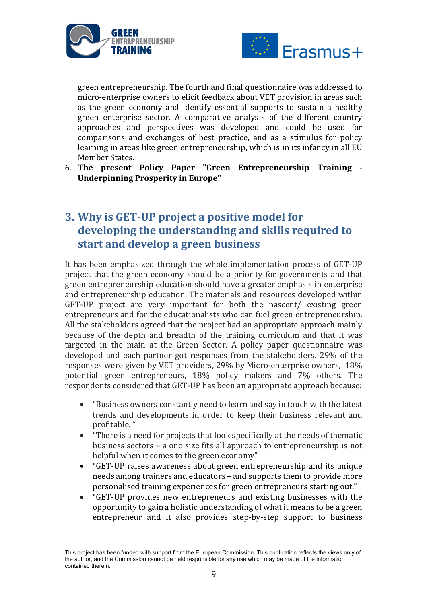



green entrepreneurship. The fourth and final questionnaire was addressed to micro-enterprise owners to elicit feedback about VET provision in areas such as the green economy and identify essential supports to sustain a healthy green enterprise sector. A comparative analysis of the different country approaches and perspectives was developed and could be used for comparisons and exchanges of best practice, and as a stimulus for policy learning in areas like green entrepreneurship, which is in its infancy in all EU Member States.

6. **The present Policy Paper "Green Entrepreneurship Training - Underpinning Prosperity in Europe"** 

# **3. Why is GET-UP project a positive model for** developing the understanding and skills required to **start and develop a green business**

It has been emphasized through the whole implementation process of GET-UP project that the green economy should be a priority for governments and that green entrepreneurship education should have a greater emphasis in enterprise and entrepreneurship education. The materials and resources developed within GET-UP project are very important for both the nascent/ existing green entrepreneurs and for the educationalists who can fuel green entrepreneurship. All the stakeholders agreed that the project had an appropriate approach mainly because of the depth and breadth of the training curriculum and that it was targeted in the main at the Green Sector. A policy paper questionnaire was developed and each partner got responses from the stakeholders. 29% of the responses were given by VET providers, 29% by Micro-enterprise owners, 18% potential green entrepreneurs, 18% policy makers and 7% others. The respondents considered that GET-UP has been an appropriate approach because:

- "Business owners constantly need to learn and say in touch with the latest trends and developments in order to keep their business relevant and profitable."
- "There is a need for projects that look specifically at the needs of thematic business sectors  $-$  a one size fits all approach to entrepreneurship is not helpful when it comes to the green economy"
- "GET-UP raises awareness about green entrepreneurship and its unique needs among trainers and educators – and supports them to provide more personalised training experiences for green entrepreneurs starting out."
- "GET-UP provides new entrepreneurs and existing businesses with the opportunity to gain a holistic understanding of what it means to be a green entrepreneur and it also provides step-by-step support to business

This project has been funded with support from the European Commission. This publication reflects the views only of the author, and the Commission cannot be held responsible for any use which may be made of the information contained therein.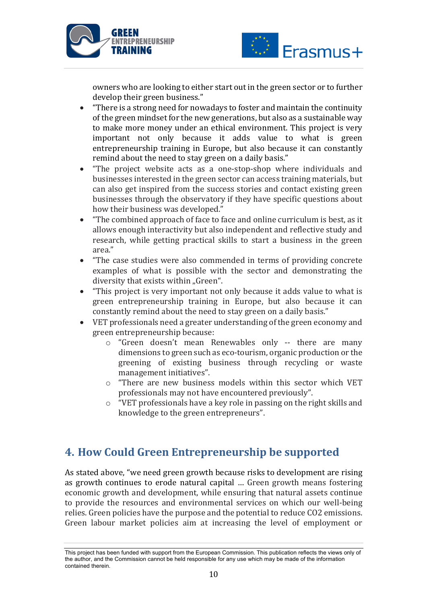



owners who are looking to either start out in the green sector or to further develop their green business."

- "There is a strong need for nowadays to foster and maintain the continuity of the green mindset for the new generations, but also as a sustainable way to make more money under an ethical environment. This project is very important not only because it adds value to what is green entrepreneurship training in Europe, but also because it can constantly remind about the need to stay green on a daily basis."
- "The project website acts as a one-stop-shop where individuals and businesses interested in the green sector can access training materials, but can also get inspired from the success stories and contact existing green businesses through the observatory if they have specific questions about how their business was developed."
- "The combined approach of face to face and online curriculum is best, as it allows enough interactivity but also independent and reflective study and research, while getting practical skills to start a business in the green area."
- "The case studies were also commended in terms of providing concrete examples of what is possible with the sector and demonstrating the diversity that exists within "Green".
- "This project is very important not only because it adds value to what is green entrepreneurship training in Europe, but also because it can constantly remind about the need to stay green on a daily basis."
- VET professionals need a greater understanding of the green economy and green entrepreneurship because:
	- o "Green doesn't mean Renewables only -- there are many dimensions to green such as eco-tourism, organic production or the greening of existing business through recycling or waste management initiatives".
	- $\circ$  "There are new business models within this sector which VET professionals may not have encountered previously".
	- $\circ$  "VET professionals have a key role in passing on the right skills and knowledge to the green entrepreneurs".

## **4. How Could Green Entrepreneurship be supported**

As stated above, "we need green growth because risks to development are rising as growth continues to erode natural capital ... Green growth means fostering economic growth and development, while ensuring that natural assets continue to provide the resources and environmental services on which our well-being relies. Green policies have the purpose and the potential to reduce CO2 emissions. Green labour market policies aim at increasing the level of employment or

This project has been funded with support from the European Commission. This publication reflects the views only of the author, and the Commission cannot be held responsible for any use which may be made of the information contained therein.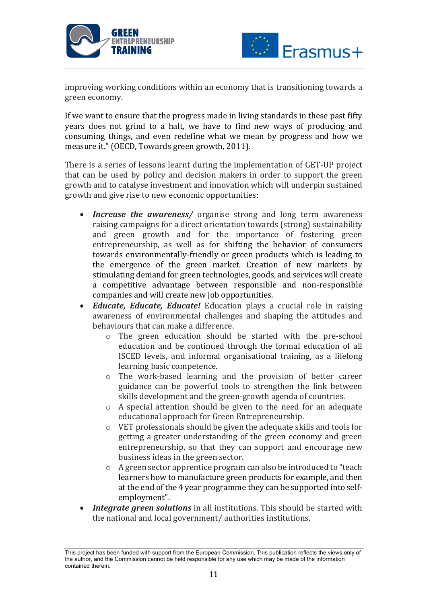



improving working conditions within an economy that is transitioning towards a green economy.

If we want to ensure that the progress made in living standards in these past fifty years does not grind to a halt, we have to find new ways of producing and consuming things, and even redefine what we mean by progress and how we measure it." (OECD, Towards green growth, 2011).

There is a series of lessons learnt during the implementation of GET-UP project that can be used by policy and decision makers in order to support the green growth and to catalyse investment and innovation which will underpin sustained growth and give rise to new economic opportunities:

- *Increase the awareness*/ organise strong and long term awareness raising campaigns for a direct orientation towards (strong) sustainability and green growth and for the importance of fostering green entrepreneurship, as well as for shifting the behavior of consumers towards environmentally-friendly or green products which is leading to the emergence of the green market. Creation of new markets by stimulating demand for green technologies, goods, and services will create a competitive advantage between responsible and non-responsible companies and will create new job opportunities.
- *Educate, Educate, Educate!* Education plays a crucial role in raising awareness of environmental challenges and shaping the attitudes and behaviours that can make a difference.
	- $\circ$  The green education should be started with the pre-school education and be continued through the formal education of all ISCED levels, and informal organisational training, as a lifelong learning basic competence.
	- $\circ$  The work-based learning and the provision of better career guidance can be powerful tools to strengthen the link between skills development and the green-growth agenda of countries.
	- $\circ$  A special attention should be given to the need for an adequate educational approach for Green Entrepreneurship.
	- $\circ$  VET professionals should be given the adequate skills and tools for getting a greater understanding of the green economy and green entrepreneurship, so that they can support and encourage new business ideas in the green sector.
	- $\circ$  A green sector apprentice program can also be introduced to "teach learners how to manufacture green products for example, and then at the end of the 4 year programme they can be supported into selfemployment".
- **Integrate green solutions** in all institutions. This should be started with the national and local government/ authorities institutions.

This project has been funded with support from the European Commission. This publication reflects the views only of the author, and the Commission cannot be held responsible for any use which may be made of the information contained therein.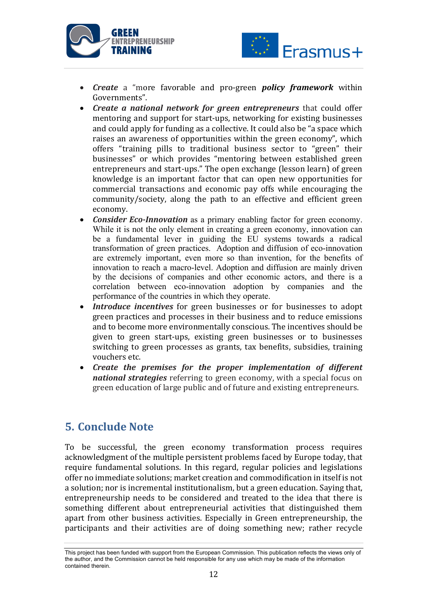



- *Create* a "more favorable and pro-green *policy* framework within Governments".
- *Create a national network for areen entrepreneurs* that could offer mentoring and support for start-ups, networking for existing businesses and could apply for funding as a collective. It could also be "a space which raises an awareness of opportunities within the green economy", which offers "training pills to traditional business sector to "green" their businesses" or which provides "mentoring between established green entrepreneurs and start-ups." The open exchange (lesson learn) of green knowledge is an important factor that can open new opportunities for commercial transactions and economic pay offs while encouraging the community/society, along the path to an effective and efficient green economy.
- **Consider Eco-Innovation** as a primary enabling factor for green economy. While it is not the only element in creating a green economy, innovation can be a fundamental lever in guiding the EU systems towards a radical transformation of green practices. Adoption and diffusion of eco-innovation are extremely important, even more so than invention, for the benefits of innovation to reach a macro-level. Adoption and diffusion are mainly driven by the decisions of companies and other economic actors, and there is a correlation between eco-innovation adoption by companies and the performance of the countries in which they operate.
- **Introduce incentives** for green businesses or for businesses to adopt green practices and processes in their business and to reduce emissions and to become more environmentally conscious. The incentives should be given to green start-ups, existing green businesses or to businesses switching to green processes as grants, tax benefits, subsidies, training vouchers etc.
- *Create the premises for the proper implementation of different national strategies* referring to green economy, with a special focus on green education of large public and of future and existing entrepreneurs.

### **5. Conclude Note**

To be successful, the green economy transformation process requires acknowledgment of the multiple persistent problems faced by Europe today, that require fundamental solutions. In this regard, regular policies and legislations offer no immediate solutions; market creation and commodification in itself is not a solution; nor is incremental institutionalism, but a green education. Saying that, entrepreneurship needs to be considered and treated to the idea that there is something different about entrepreneurial activities that distinguished them apart from other business activities. Especially in Green entrepreneurship, the participants and their activities are of doing something new; rather recycle

This project has been funded with support from the European Commission. This publication reflects the views only of the author, and the Commission cannot be held responsible for any use which may be made of the information contained therein.